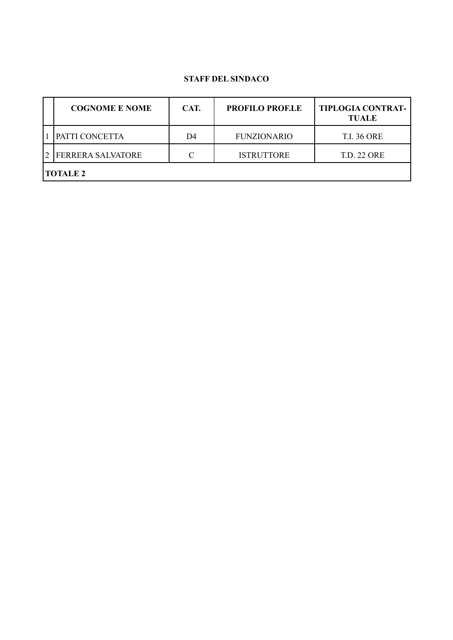#### **STAFF DEL SINDACO**

| <b>COGNOME E NOME</b>    | CAT. | <b>PROFILO PROF.LE</b> | <b>TIPLOGIA CONTRAT-</b><br><b>TUALE</b> |  |  |  |
|--------------------------|------|------------------------|------------------------------------------|--|--|--|
| PATTI CONCETTA           | D4   | <b>FUNZIONARIO</b>     | <b>T.I. 36 ORE</b>                       |  |  |  |
| <b>FERRERA SALVATORE</b> | C    | <b>ISTRUTTORE</b>      | <b>T.D. 22 ORE</b>                       |  |  |  |
| <b>TOTALE 2</b>          |      |                        |                                          |  |  |  |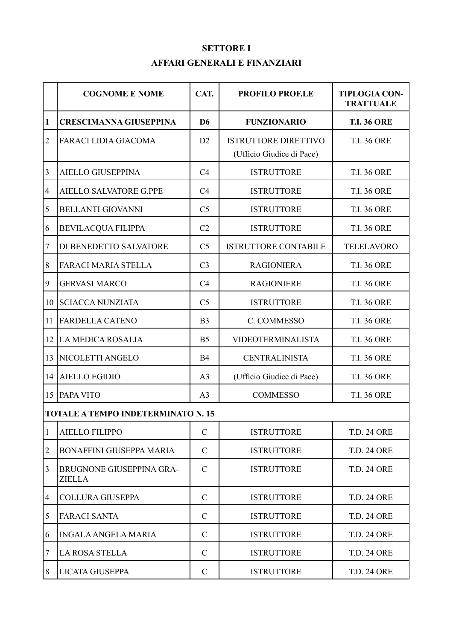# **SETTORE I AFFARI GENERALI E FINANZIARI**

|                  | <b>COGNOME E NOME</b>                     | CAT.           | <b>PROFILO PROF.LE</b>                                   | <b>TIPLOGIA CON-</b><br><b>TRATTUALE</b> |
|------------------|-------------------------------------------|----------------|----------------------------------------------------------|------------------------------------------|
| 1                | <b>CRESCIMANNA GIUSEPPINA</b>             | D <sub>6</sub> | <b>FUNZIONARIO</b>                                       | <b>T.I. 36 ORE</b>                       |
| $\overline{2}$   | <b>FARACI LIDIA GIACOMA</b>               | D2             | <b>ISTRUTTORE DIRETTIVO</b><br>(Ufficio Giudice di Pace) | <b>T.I. 36 ORE</b>                       |
| 3                | <b>AIELLO GIUSEPPINA</b>                  | C4             | <b>ISTRUTTORE</b>                                        | <b>T.I. 36 ORE</b>                       |
| 4                | <b>AIELLO SALVATORE G.PPE</b>             | C4             | <b>ISTRUTTORE</b>                                        | <b>T.I. 36 ORE</b>                       |
| 5                | <b>BELLANTI GIOVANNI</b>                  | C <sub>5</sub> | <b>ISTRUTTORE</b>                                        | <b>T.I. 36 ORE</b>                       |
| 6                | <b>BEVILACQUA FILIPPA</b>                 | C2             | <b>ISTRUTTORE</b>                                        | <b>T.I. 36 ORE</b>                       |
| $\boldsymbol{7}$ | DI BENEDETTO SALVATORE                    | C <sub>5</sub> | <b>ISTRUTTORE CONTABILE</b>                              | <b>TELELAVORO</b>                        |
| 8                | <b>FARACI MARIA STELLA</b>                | C <sub>3</sub> | <b>RAGIONIERA</b>                                        | <b>T.I. 36 ORE</b>                       |
| 9                | <b>GERVASI MARCO</b>                      | C4             | <b>RAGIONIERE</b>                                        | <b>T.I. 36 ORE</b>                       |
| 10               | <b>SCIACCA NUNZIATA</b>                   | C <sub>5</sub> | <b>ISTRUTTORE</b>                                        | <b>T.I. 36 ORE</b>                       |
| 11               | <b>FARDELLA CATENO</b>                    | B <sub>3</sub> | C. COMMESSO                                              | <b>T.I. 36 ORE</b>                       |
| 12               | <b>LA MEDICA ROSALIA</b>                  | B <sub>5</sub> | <b>VIDEOTERMINALISTA</b>                                 | <b>T.I. 36 ORE</b>                       |
| 13               | NICOLETTI ANGELO                          | <b>B4</b>      | <b>CENTRALINISTA</b>                                     | <b>T.I. 36 ORE</b>                       |
| 14               | <b>AIELLO EGIDIO</b>                      | A <sub>3</sub> | (Ufficio Giudice di Pace)                                | <b>T.I. 36 ORE</b>                       |
| 15               | PAPA VITO                                 | A <sub>3</sub> | <b>COMMESSO</b>                                          | <b>T.I. 36 ORE</b>                       |
|                  | <b>TOTALE A TEMPO INDETERMINATO N. 15</b> |                |                                                          |                                          |
| $\mathbf{1}$     | <b>AIELLO FILIPPO</b>                     | $\mathcal{C}$  | <b>ISTRUTTORE</b>                                        | <b>T.D. 24 ORE</b>                       |
| $\overline{2}$   | <b>BONAFFINI GIUSEPPA MARIA</b>           | $\mathcal{C}$  | <b>ISTRUTTORE</b>                                        | <b>T.D. 24 ORE</b>                       |
| 3                | BRUGNONE GIUSEPPINA GRA-<br><b>ZIELLA</b> | $\mathcal{C}$  | <b>ISTRUTTORE</b>                                        | <b>T.D. 24 ORE</b>                       |
| 4                | <b>COLLURA GIUSEPPA</b>                   | $\mathcal{C}$  | <b>ISTRUTTORE</b>                                        | <b>T.D. 24 ORE</b>                       |
| 5                | <b>FARACI SANTA</b>                       | $\mathcal{C}$  | <b>ISTRUTTORE</b>                                        | <b>T.D. 24 ORE</b>                       |
| 6                | <b>INGALA ANGELA MARIA</b>                | $\mathcal{C}$  | <b>ISTRUTTORE</b>                                        | <b>T.D. 24 ORE</b>                       |
| $\tau$           | <b>LA ROSA STELLA</b>                     | $\mathcal{C}$  | <b>ISTRUTTORE</b>                                        | <b>T.D. 24 ORE</b>                       |
| 8                | LICATA GIUSEPPA                           | $\mathbf C$    | <b>ISTRUTTORE</b>                                        | <b>T.D. 24 ORE</b>                       |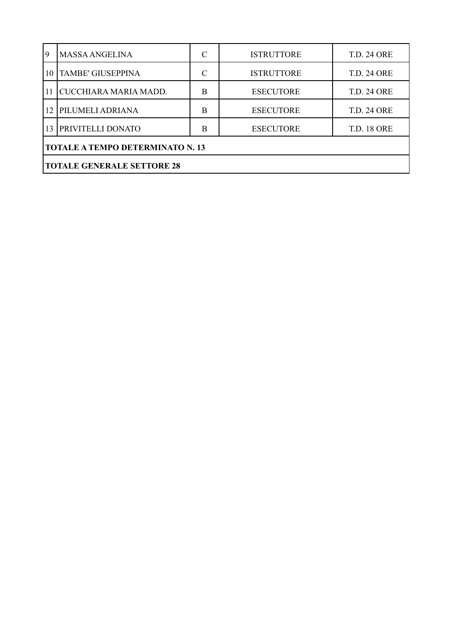| 9                                       | <b>MASSA ANGELINA</b>    |   | <b>ISTRUTTORE</b> | <b>T.D. 24 ORE</b> |  |  |
|-----------------------------------------|--------------------------|---|-------------------|--------------------|--|--|
| 10                                      | <b>TAMBE' GIUSEPPINA</b> | C | <b>ISTRUTTORE</b> | <b>T.D. 24 ORE</b> |  |  |
| 11                                      | CUCCHIARA MARIA MADD.    | B | <b>ESECUTORE</b>  | <b>T.D. 24 ORE</b> |  |  |
| 12                                      | <b>PILUMELI ADRIANA</b>  | B | <b>ESECUTORE</b>  | <b>T.D. 24 ORE</b> |  |  |
|                                         | 13 PRIVITELLI DONATO     | B | <b>ESECUTORE</b>  | <b>T.D. 18 ORE</b> |  |  |
| <b>TOTALE A TEMPO DETERMINATO N. 13</b> |                          |   |                   |                    |  |  |
| <b>TOTALE GENERALE SETTORE 28</b>       |                          |   |                   |                    |  |  |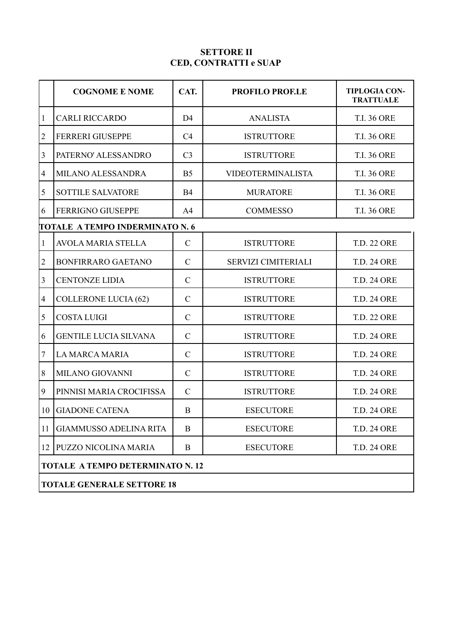#### **SETTORE II CED, CONTRATTI e SUAP**

|                          | <b>COGNOME E NOME</b>                   | CAT.           | <b>PROFILO PROF.LE</b>     | <b>TIPLOGIA CON-</b><br><b>TRATTUALE</b> |  |  |
|--------------------------|-----------------------------------------|----------------|----------------------------|------------------------------------------|--|--|
| $\mathbf{1}$             | <b>CARLI RICCARDO</b>                   | D <sub>4</sub> | <b>ANALISTA</b>            | <b>T.I. 36 ORE</b>                       |  |  |
| $\overline{c}$           | <b>FERRERI GIUSEPPE</b>                 | C4             | <b>ISTRUTTORE</b>          | <b>T.I. 36 ORE</b>                       |  |  |
| 3                        | PATERNO' ALESSANDRO                     | C <sub>3</sub> | <b>ISTRUTTORE</b>          | <b>T.I. 36 ORE</b>                       |  |  |
| $\overline{\mathcal{A}}$ | MILANO ALESSANDRA                       | B <sub>5</sub> | <b>VIDEOTERMINALISTA</b>   | <b>T.I. 36 ORE</b>                       |  |  |
| 5                        | <b>SOTTILE SALVATORE</b>                | <b>B4</b>      | <b>MURATORE</b>            | <b>T.I. 36 ORE</b>                       |  |  |
| 6                        | <b>FERRIGNO GIUSEPPE</b>                | A4             | <b>COMMESSO</b>            | <b>T.I. 36 ORE</b>                       |  |  |
|                          | <b>TOTALE A TEMPO INDERMINATO N. 6</b>  |                |                            |                                          |  |  |
| 1                        | <b>AVOLA MARIA STELLA</b>               | $\mathcal{C}$  | <b>ISTRUTTORE</b>          | <b>T.D. 22 ORE</b>                       |  |  |
| $\overline{2}$           | <b>BONFIRRARO GAETANO</b>               | $\mathbf C$    | <b>SERVIZI CIMITERIALI</b> | <b>T.D. 24 ORE</b>                       |  |  |
| 3                        | <b>CENTONZE LIDIA</b>                   | $\mathbf C$    | <b>ISTRUTTORE</b>          | <b>T.D. 24 ORE</b>                       |  |  |
| $\overline{\mathcal{A}}$ | <b>COLLERONE LUCIA (62)</b>             | $\mathbf C$    | <b>ISTRUTTORE</b>          | <b>T.D. 24 ORE</b>                       |  |  |
| 5                        | <b>COSTA LUIGI</b>                      | $\mathbf C$    | <b>ISTRUTTORE</b>          | <b>T.D. 22 ORE</b>                       |  |  |
| 6                        | <b>GENTILE LUCIA SILVANA</b>            | $\mathbf C$    | <b>ISTRUTTORE</b>          | <b>T.D. 24 ORE</b>                       |  |  |
| 7                        | <b>LA MARCA MARIA</b>                   | $\mathbf C$    | <b>ISTRUTTORE</b>          | <b>T.D. 24 ORE</b>                       |  |  |
| 8                        | <b>MILANO GIOVANNI</b>                  | $\mathbf C$    | <b>ISTRUTTORE</b>          | <b>T.D. 24 ORE</b>                       |  |  |
| 9                        | PINNISI MARIA CROCIFISSA                | $\mathbf C$    | <b>ISTRUTTORE</b>          | <b>T.D. 24 ORE</b>                       |  |  |
| 10                       | <b>GIADONE CATENA</b>                   | B              | <b>ESECUTORE</b>           | <b>T.D. 24 ORE</b>                       |  |  |
| 11                       | <b>GIAMMUSSO ADELINA RITA</b>           | B              | <b>ESECUTORE</b>           | <b>T.D. 24 ORE</b>                       |  |  |
| 12                       | PUZZO NICOLINA MARIA                    | B              | <b>ESECUTORE</b>           | <b>T.D. 24 ORE</b>                       |  |  |
|                          | <b>TOTALE A TEMPO DETERMINATO N. 12</b> |                |                            |                                          |  |  |
|                          | <b>TOTALE GENERALE SETTORE 18</b>       |                |                            |                                          |  |  |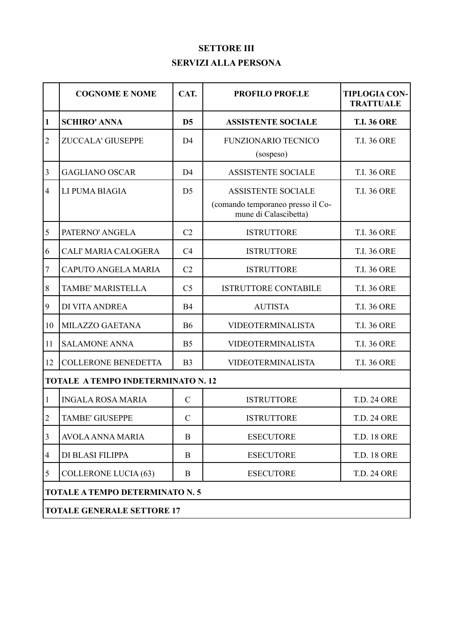# **SETTORE III SERVIZI ALLA PERSONA**

|                | <b>COGNOME E NOME</b>                     | CAT.           | <b>PROFILO PROF.LE</b>                                                                  | <b>TIPLOGIA CON-</b><br><b>TRATTUALE</b> |  |  |
|----------------|-------------------------------------------|----------------|-----------------------------------------------------------------------------------------|------------------------------------------|--|--|
| 1              | <b>SCHIRO' ANNA</b>                       | D <sub>5</sub> | <b>ASSISTENTE SOCIALE</b>                                                               | <b>T.I. 36 ORE</b>                       |  |  |
| $\overline{2}$ | ZUCCALA' GIUSEPPE                         | D <sub>4</sub> | <b>FUNZIONARIO TECNICO</b><br>(sospeso)                                                 | <b>T.I. 36 ORE</b>                       |  |  |
| 3              | <b>GAGLIANO OSCAR</b>                     | D <sub>4</sub> | <b>ASSISTENTE SOCIALE</b>                                                               | <b>T.I. 36 ORE</b>                       |  |  |
| $\overline{4}$ | LI PUMA BIAGIA                            | D <sub>5</sub> | <b>ASSISTENTE SOCIALE</b><br>(comando temporaneo presso il Co-<br>mune di Calascibetta) | <b>T.I. 36 ORE</b>                       |  |  |
| 5              | PATERNO' ANGELA                           | C2             | <b>ISTRUTTORE</b>                                                                       | <b>T.I. 36 ORE</b>                       |  |  |
| 6              | CALI' MARIA CALOGERA                      | C4             | <b>ISTRUTTORE</b>                                                                       | <b>T.I. 36 ORE</b>                       |  |  |
| 7              | <b>CAPUTO ANGELA MARIA</b>                | C2             | <b>ISTRUTTORE</b>                                                                       | <b>T.I. 36 ORE</b>                       |  |  |
| 8              | <b>TAMBE' MARISTELLA</b>                  | C <sub>5</sub> | <b>ISTRUTTORE CONTABILE</b>                                                             | <b>T.I. 36 ORE</b>                       |  |  |
| 9              | DI VITA ANDREA                            | <b>B4</b>      | <b>AUTISTA</b>                                                                          | <b>T.I. 36 ORE</b>                       |  |  |
| 10             | MILAZZO GAETANA                           | <b>B6</b>      | VIDEOTERMINALISTA                                                                       | <b>T.I. 36 ORE</b>                       |  |  |
| 11             | <b>SALAMONE ANNA</b>                      | B <sub>5</sub> | VIDEOTERMINALISTA                                                                       | <b>T.I. 36 ORE</b>                       |  |  |
| 12             | <b>COLLERONE BENEDETTA</b>                | B <sub>3</sub> | <b>VIDEOTERMINALISTA</b>                                                                | <b>T.I. 36 ORE</b>                       |  |  |
|                | <b>TOTALE A TEMPO INDETERMINATO N. 12</b> |                |                                                                                         |                                          |  |  |
| 1              | <b>INGALA ROSA MARIA</b>                  | $\mathcal{C}$  | <b>ISTRUTTORE</b>                                                                       | <b>T.D. 24 ORE</b>                       |  |  |
| $\overline{2}$ | TAMBE' GIUSEPPE                           | $\mathcal{C}$  | <b>ISTRUTTORE</b>                                                                       | <b>T.D. 24 ORE</b>                       |  |  |
| 3              | <b>AVOLA ANNA MARIA</b>                   | B              | <b>ESECUTORE</b>                                                                        | <b>T.D. 18 ORE</b>                       |  |  |
| 4              | DI BLASI FILIPPA                          | B              | <b>ESECUTORE</b>                                                                        | <b>T.D. 18 ORE</b>                       |  |  |
| 5              | <b>COLLERONE LUCIA (63)</b>               | B              | <b>ESECUTORE</b>                                                                        | <b>T.D. 24 ORE</b>                       |  |  |
|                | <b>TOTALE A TEMPO DETERMINATO N. 5</b>    |                |                                                                                         |                                          |  |  |
|                | <b>TOTALE GENERALE SETTORE 17</b>         |                |                                                                                         |                                          |  |  |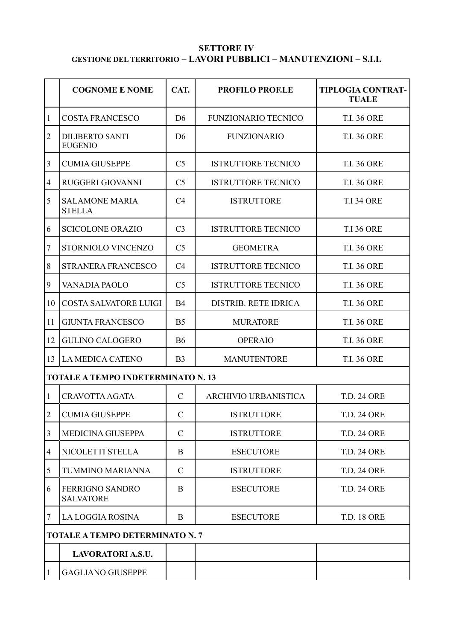### **SETTORE IV GESTIONE DEL TERRITORIO – LAVORI PUBBLICI – MANUTENZIONI – S.I.I.**

|                                           | <b>COGNOME E NOME</b>                      | CAT.           | <b>PROFILO PROF.LE</b>      | <b>TIPLOGIA CONTRAT-</b><br><b>TUALE</b> |  |  |
|-------------------------------------------|--------------------------------------------|----------------|-----------------------------|------------------------------------------|--|--|
| 1                                         | <b>COSTA FRANCESCO</b>                     | D <sub>6</sub> | <b>FUNZIONARIO TECNICO</b>  | <b>T.I. 36 ORE</b>                       |  |  |
| $\overline{2}$                            | <b>DILIBERTO SANTI</b><br><b>EUGENIO</b>   | D <sub>6</sub> | <b>FUNZIONARIO</b>          | <b>T.I. 36 ORE</b>                       |  |  |
| 3                                         | <b>CUMIA GIUSEPPE</b>                      | C <sub>5</sub> | <b>ISTRUTTORE TECNICO</b>   | <b>T.I. 36 ORE</b>                       |  |  |
| $\overline{4}$                            | RUGGERI GIOVANNI                           | C <sub>5</sub> | <b>ISTRUTTORE TECNICO</b>   | <b>T.I. 36 ORE</b>                       |  |  |
| 5                                         | <b>SALAMONE MARIA</b><br><b>STELLA</b>     | C4             | <b>ISTRUTTORE</b>           | <b>T.I 34 ORE</b>                        |  |  |
| 6                                         | <b>SCICOLONE ORAZIO</b>                    | C <sub>3</sub> | <b>ISTRUTTORE TECNICO</b>   | <b>T.I 36 ORE</b>                        |  |  |
| $\boldsymbol{7}$                          | STORNIOLO VINCENZO                         | C <sub>5</sub> | <b>GEOMETRA</b>             | <b>T.I. 36 ORE</b>                       |  |  |
| $8\,$                                     | <b>STRANERA FRANCESCO</b>                  | C <sub>4</sub> | <b>ISTRUTTORE TECNICO</b>   | <b>T.I. 36 ORE</b>                       |  |  |
| 9                                         | VANADIA PAOLO                              | C <sub>5</sub> | <b>ISTRUTTORE TECNICO</b>   | <b>T.I. 36 ORE</b>                       |  |  |
| 10                                        | <b>COSTA SALVATORE LUIGI</b>               | <b>B4</b>      | <b>DISTRIB. RETE IDRICA</b> | <b>T.I. 36 ORE</b>                       |  |  |
| 11                                        | <b>GIUNTA FRANCESCO</b>                    | B <sub>5</sub> | <b>MURATORE</b>             | <b>T.I. 36 ORE</b>                       |  |  |
| 12                                        | <b>GULINO CALOGERO</b>                     | <b>B6</b>      | <b>OPERAIO</b>              | <b>T.I. 36 ORE</b>                       |  |  |
| 13                                        | <b>LA MEDICA CATENO</b>                    | B <sub>3</sub> | <b>MANUTENTORE</b>          | <b>T.I. 36 ORE</b>                       |  |  |
| <b>TOTALE A TEMPO INDETERMINATO N. 13</b> |                                            |                |                             |                                          |  |  |
| $\mathbf{1}$                              | <b>CRAVOTTA AGATA</b>                      | $\mathcal{C}$  | ARCHIVIO URBANISTICA        | <b>T.D. 24 ORE</b>                       |  |  |
| $\sqrt{2}$                                | <b>CUMIA GIUSEPPE</b>                      | $\mathcal{C}$  | <b>ISTRUTTORE</b>           | <b>T.D. 24 ORE</b>                       |  |  |
| 3                                         | <b>MEDICINA GIUSEPPA</b>                   | $\mathcal{C}$  | <b>ISTRUTTORE</b>           | <b>T.D. 24 ORE</b>                       |  |  |
| 4                                         | NICOLETTI STELLA                           | B              | <b>ESECUTORE</b>            | <b>T.D. 24 ORE</b>                       |  |  |
| 5                                         | TUMMINO MARIANNA                           | $\mathcal{C}$  | <b>ISTRUTTORE</b>           | <b>T.D. 24 ORE</b>                       |  |  |
| 6                                         | <b>FERRIGNO SANDRO</b><br><b>SALVATORE</b> | B              | <b>ESECUTORE</b>            | <b>T.D. 24 ORE</b>                       |  |  |
| 7                                         | LA LOGGIA ROSINA                           | B              | <b>ESECUTORE</b>            | <b>T.D. 18 ORE</b>                       |  |  |
|                                           | <b>TOTALE A TEMPO DETERMINATO N. 7</b>     |                |                             |                                          |  |  |
|                                           | <b>LAVORATORI A.S.U.</b>                   |                |                             |                                          |  |  |
| $\mathbf{1}$                              | <b>GAGLIANO GIUSEPPE</b>                   |                |                             |                                          |  |  |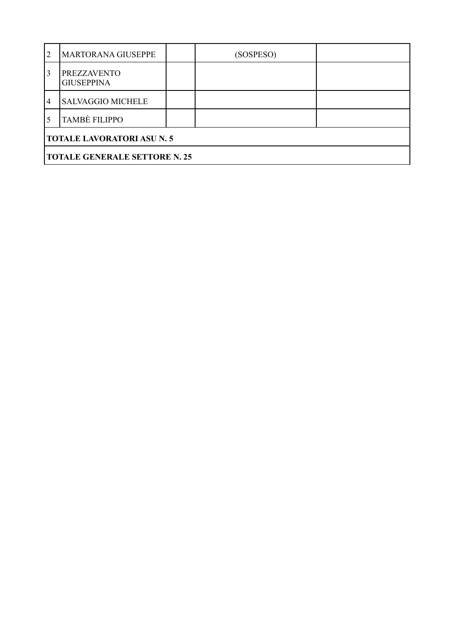| $\overline{2}$                    | <b>MARTORANA GIUSEPPE</b>               |  | (SOSPESO) |  |  |
|-----------------------------------|-----------------------------------------|--|-----------|--|--|
| 3                                 | <b>PREZZAVENTO</b><br><b>GIUSEPPINA</b> |  |           |  |  |
| $^{\circ}$ 4                      | <b>SALVAGGIO MICHELE</b>                |  |           |  |  |
|                                   | <b>TAMBÈ FILIPPO</b>                    |  |           |  |  |
| <b>TOTALE LAVORATORI ASU N. 5</b> |                                         |  |           |  |  |
|                                   | <b>TOTALE GENERALE SETTORE N. 25</b>    |  |           |  |  |